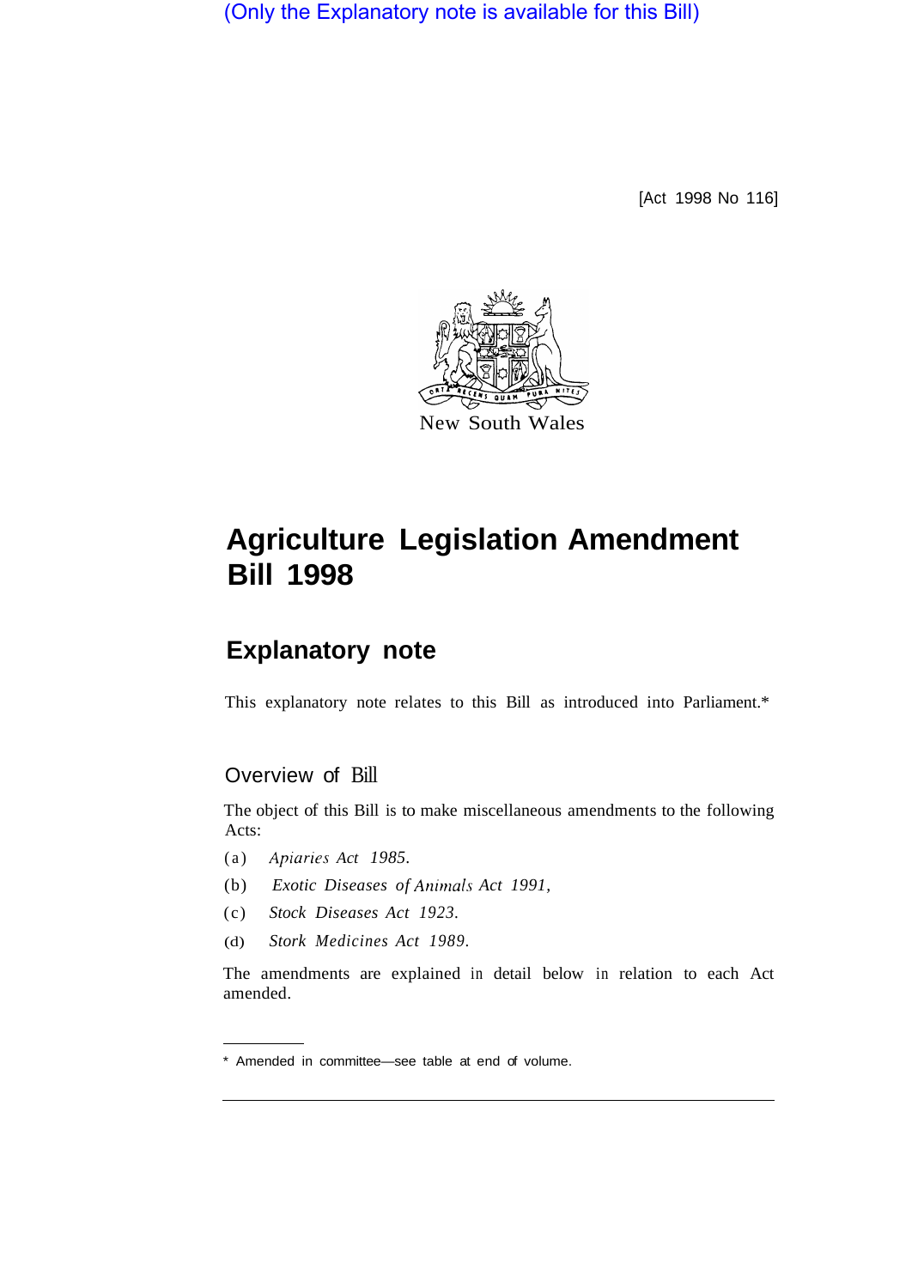(Only the Explanatory note is available for this Bill)

[Act 1998 No 116]



# **Agriculture Legislation Amendment Bill 1998**

# **Explanatory note**

This explanatory note relates to this Bill as introduced into Parliament.\*

# Overview of Bill

The object of this Bill is to make miscellaneous amendments to the following Acts:

- (a) *Apiariespiaries Act 1985.*
- (b) *Exotic Diseases of Animals Act 1991,*
- (c) *Stock Diseases Act 1923.*
- (d) *Stork Medicines Act 1989.*

The amendments are explained in detail below in relation to each Act amended.

<sup>\*</sup> Amended in committee—see table at end of volume.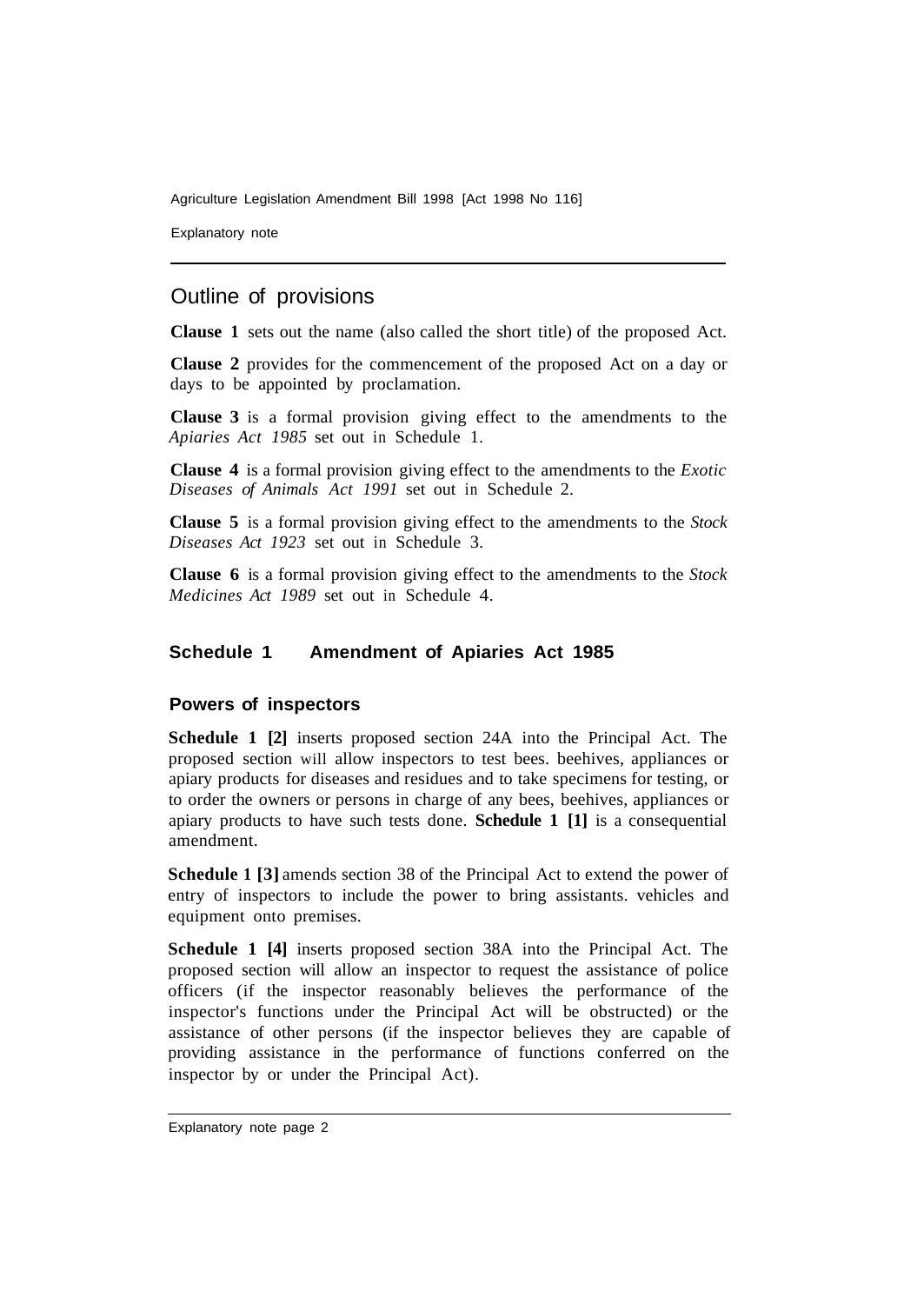Explanatory note

# Outline of provisions

**Clause 1** sets out the name (also called the short title) of the proposed Act.

**Clause 2** provides for the commencement of the proposed Act on a day or days to be appointed by proclamation.

**Clause 3** is a formal provision giving effect to the amendments to the *Apiaries Act 1985* set out in Schedule 1.

**Clause 4** is a formal provision giving effect to the amendments to the *Exotic Diseases of Animals Act 1991* set out in Schedule 2.

**Clause 5** is a formal provision giving effect to the amendments to the *Stock Diseases Act 1923* set out in Schedule 3.

**Clause 6** is a formal provision giving effect to the amendments to the *Stock Medicines Act 1989* set out in Schedule 4.

# **Schedule 1 Amendment of Apiaries Act 1985**

#### **Powers of inspectors**

**Schedule 1 [2]** inserts proposed section 24A into the Principal Act. The proposed section will allow inspectors to test bees. beehives, appliances or apiary products for diseases and residues and to take specimens for testing, or to order the owners or persons in charge of any bees, beehives, appliances or apiary products to have such tests done. **Schedule 1 [1]** is a consequential amendment.

**Schedule 1 [3]** amends section 38 of the Principal Act to extend the power of entry of inspectors to include the power to bring assistants. vehicles and equipment onto premises.

**Schedule 1 [4]** inserts proposed section 38A into the Principal Act. The proposed section will allow an inspector to request the assistance of police officers (if the inspector reasonably believes the performance of the inspector's functions under the Principal Act will be obstructed) or the assistance of other persons (if the inspector believes they are capable of providing assistance in the performance of functions conferred on the inspector by or under the Principal Act).

Explanatory note page 2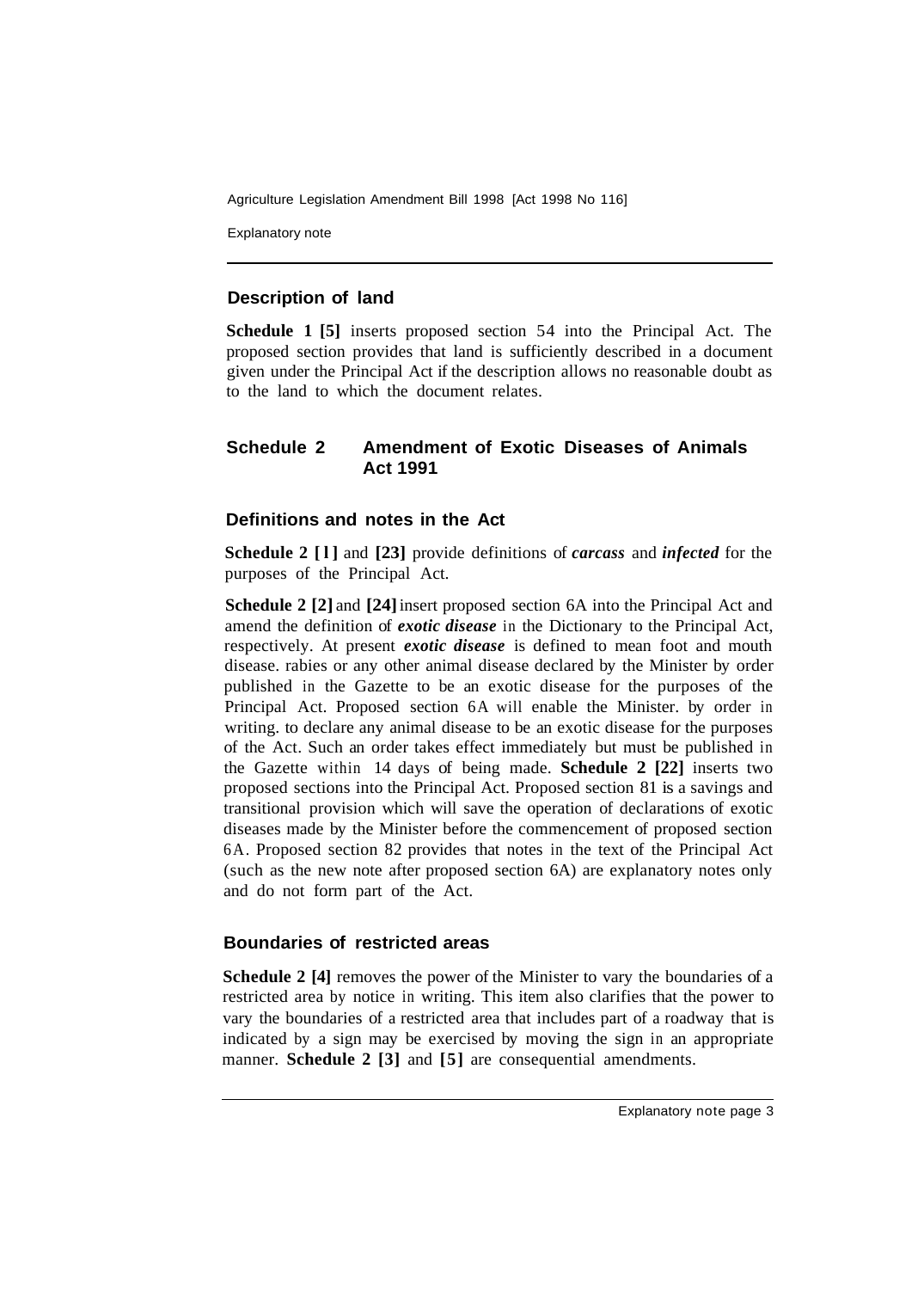Explanatory note

# **Description of land**

**Schedule 1 [5]** inserts proposed section 54 into the Principal Act. The proposed section provides that land is sufficiently described in a document given under the Principal Act if the description allows no reasonable doubt as to the land to which the document relates.

# **Schedule 2 Amendment of Exotic Diseases of Animals Act 1991**

# **Definitions and notes in the Act**

**Schedule 2 [l]** and **[23]** provide definitions of *carcass* and *infected* for the purposes of the Principal Act.

**Schedule 2 [2]** and **[24]** insert proposed section 6A into the Principal Act and amend the definition of *exotic disease* in the Dictionary to the Principal Act, respectively. At present *exotic disease* is defined to mean foot and mouth disease. rabies or any other animal disease declared by the Minister by order published in the Gazette to be an exotic disease for the purposes of the Principal Act. Proposed section 6A will enable the Minister. by order in writing. to declare any animal disease to be an exotic disease for the purposes of the Act. Such an order takes effect immediately but must be published in the Gazette within 14 days of being made. **Schedule 2 [22]** inserts two proposed sections into the Principal Act. Proposed section 81 is a savings and transitional provision which will save the operation of declarations of exotic diseases made by the Minister before the commencement of proposed section 6A. Proposed section 82 provides that notes in the text of the Principal Act (such as the new note after proposed section 6A) are explanatory notes only and do not form part of the Act.

#### **Boundaries of restricted areas**

**Schedule 2 [4] removes the power of the Minister to vary the boundaries of a** restricted area by notice in writing. This item also clarifies that the power to vary the boundaries of a restricted area that includes part of a roadway that is indicated by a sign may be exercised by moving the sign in an appropriate manner. **Schedule 2 [3]** and **[5]** are consequential amendments.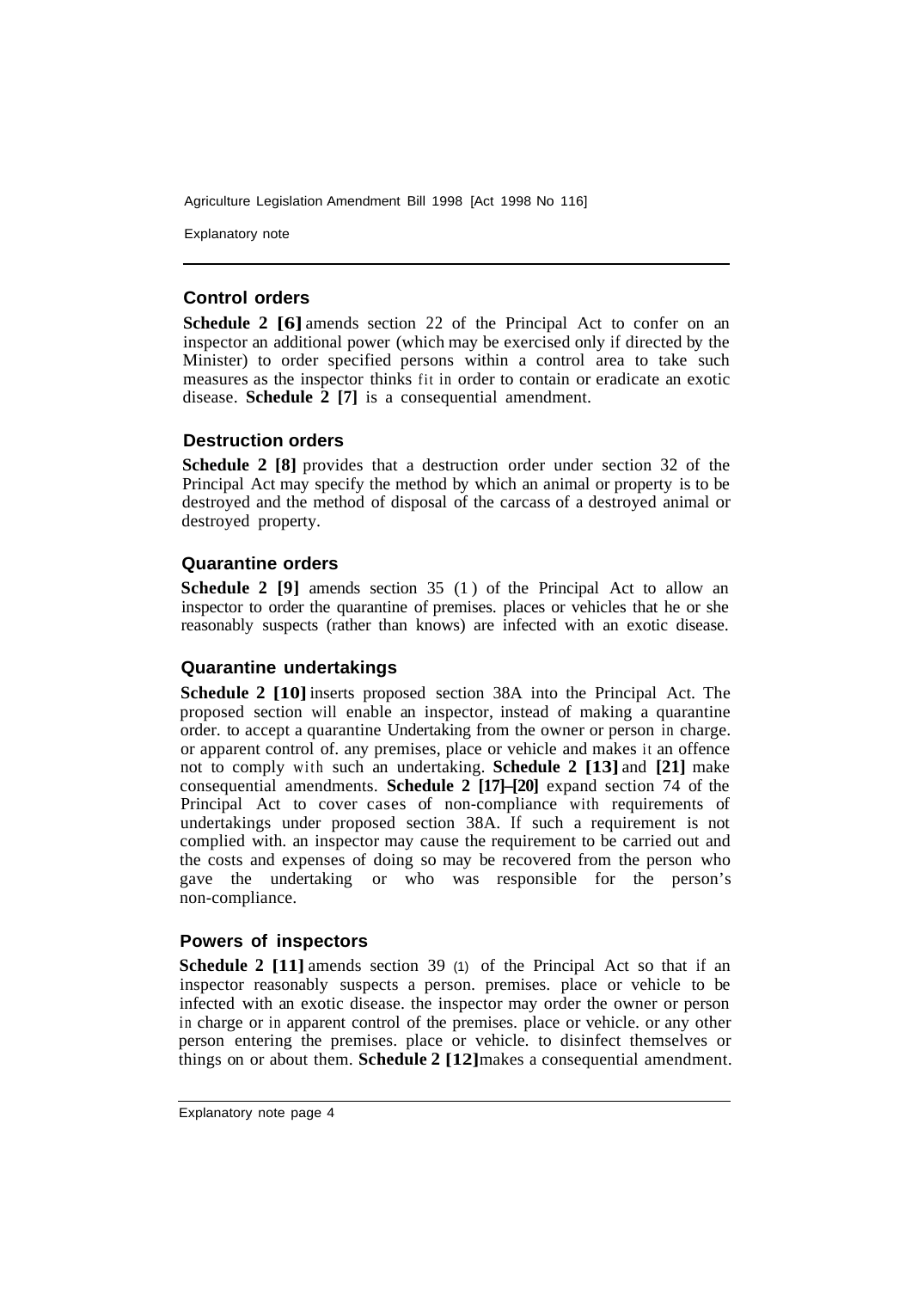Explanatory note

#### **Control orders**

**Schedule 2 [6]** amends section 22 of the Principal Act to confer on an inspector an additional power (which may be exercised only if directed by the Minister) to order specified persons within a control area to take such measures as the inspector thinks fit in order to contain or eradicate an exotic disease. **Schedule 2 [7]** is a consequential amendment.

# **Destruction orders**

**Schedule 2 [8]** provides that a destruction order under section 32 of the Principal Act may specify the method by which an animal or property is to be destroyed and the method of disposal of the carcass of a destroyed animal or destroyed property.

# **Quarantine orders**

**Schedule 2 [9]** amends section 35 (1) of the Principal Act to allow an inspector to order the quarantine of premises. places or vehicles that he or she reasonably suspects (rather than knows) are infected with an exotic disease.

# **Quarantine undertakings**

**Schedule 2 [10]** inserts proposed section 38A into the Principal Act. The proposed section will enable an inspector, instead of making a quarantine order. to accept a quarantine Undertaking from the owner or person in charge. or apparent control of. any premises, place or vehicle and makes it an offence not to comply with such an undertaking. **Schedule 2 [13]** and **[21]** make consequential amendments. **Schedule 2 [17]–[20]** expand section 74 of the Principal Act to cover cases of non-compliance with requirements of undertakings under proposed section 38A. If such a requirement is not complied with. an inspector may cause the requirement to be carried out and the costs and expenses of doing so may be recovered from the person who gave the undertaking or who was responsible for the person's non-compliance.

# **Powers of inspectors**

**Schedule 2 [11]** amends section 39 (1) of the Principal Act so that if an inspector reasonably suspects a person. premises. place or vehicle to be infected with an exotic disease. the inspector may order the owner or person in charge or in apparent control of the premises. place or vehicle. or any other person entering the premises. place or vehicle. to disinfect themselves or things on or about them. **Schedule 2 [12]** makes a consequential amendment.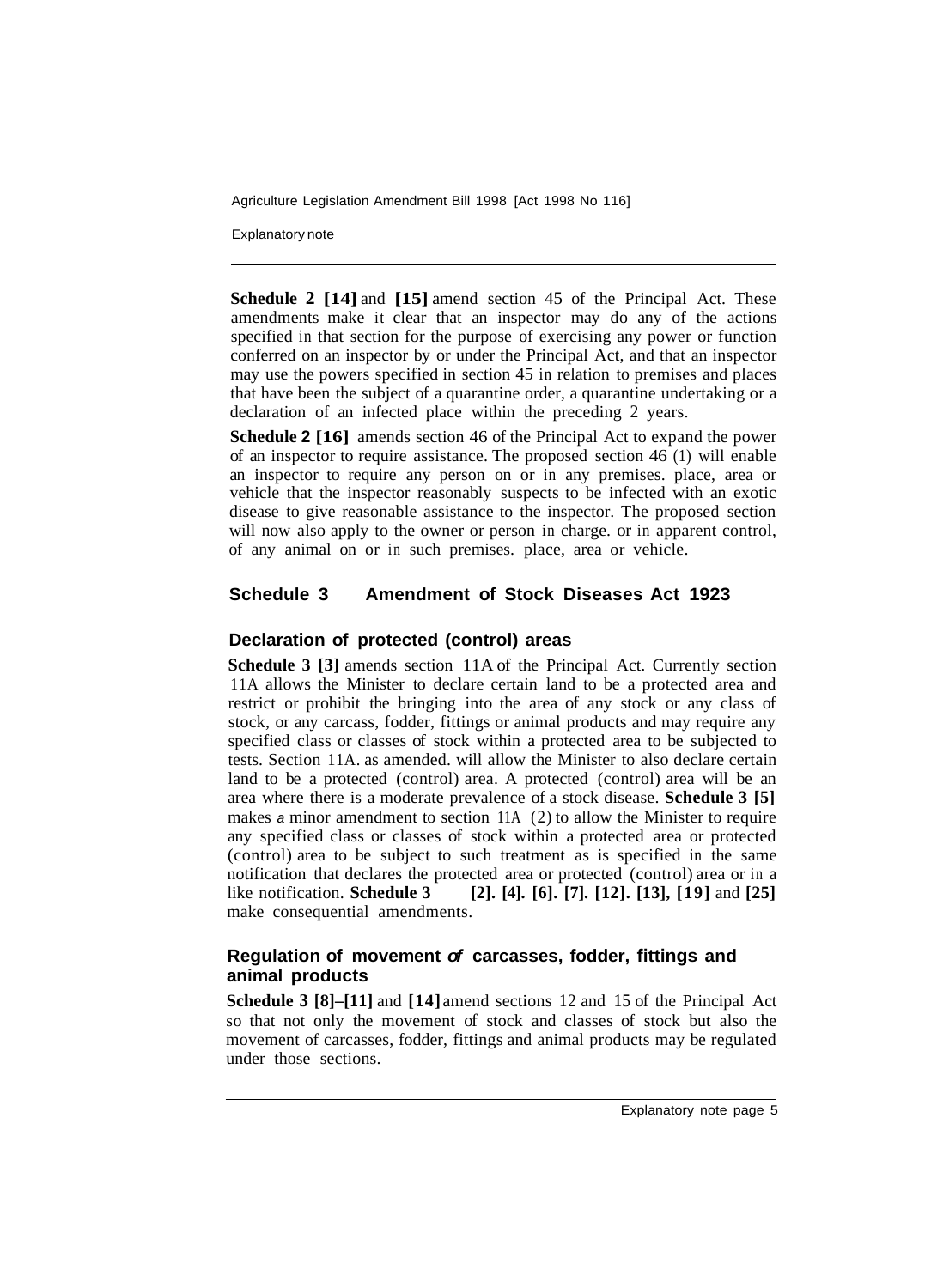Explanatory note

**Schedule 2 [14]** and **[15]** amend section 45 of the Principal Act. These amendments make it clear that an inspector may do any of the actions specified in that section for the purpose of exercising any power or function conferred on an inspector by or under the Principal Act, and that an inspector may use the powers specified in section 45 in relation to premises and places that have been the subject of a quarantine order, a quarantine undertaking or a declaration of an infected place within the preceding 2 years.

**Schedule 2 [16]** amends section 46 of the Principal Act to expand the power of an inspector to require assistance. The proposed section 46 (1) will enable an inspector to require any person on or in any premises. place, area or vehicle that the inspector reasonably suspects to be infected with an exotic disease to give reasonable assistance to the inspector. The proposed section will now also apply to the owner or person in charge, or in apparent control, of any animal on or in such premises. place, area or vehicle.

#### **Schedule 3 Amendment of Stock Diseases Act 1923**

# **Declaration of protected (control) areas**

**Schedule 3 [3]** amends section 11A of the Principal Act. Currently section 11A allows the Minister to declare certain land to be a protected area and restrict or prohibit the bringing into the area of any stock or any class of stock, or any carcass, fodder, fittings or animal products and may require any specified class or classes of stock within a protected area to be subjected to tests. Section 11A. as amended. will allow the Minister to also declare certain land to be a protected (control) area. A protected (control) area will be an area where there is a moderate prevalence of a stock disease. **Schedule 3 [5]**  makes *a* minor amendment to section 11A (2) to allow the Minister to require any specified class or classes of stock within a protected area or protected (control) area to be subject to such treatment as is specified in the same notification that declares the protected area or protected (control) area or in a like notification. **Schedule 3** [2], [4], [6], [7], [12], [13], [19] and [25] make consequential amendments.

# **Regulation of movement** *of* **carcasses, fodder, fittings and animal products**

**Schedule 3 [8]–[11]** and **[14]** amend sections 12 and 15 of the Principal Act so that not only the movement of stock and classes of stock but also the movement of carcasses, fodder, fittings and animal products may be regulated under those sections.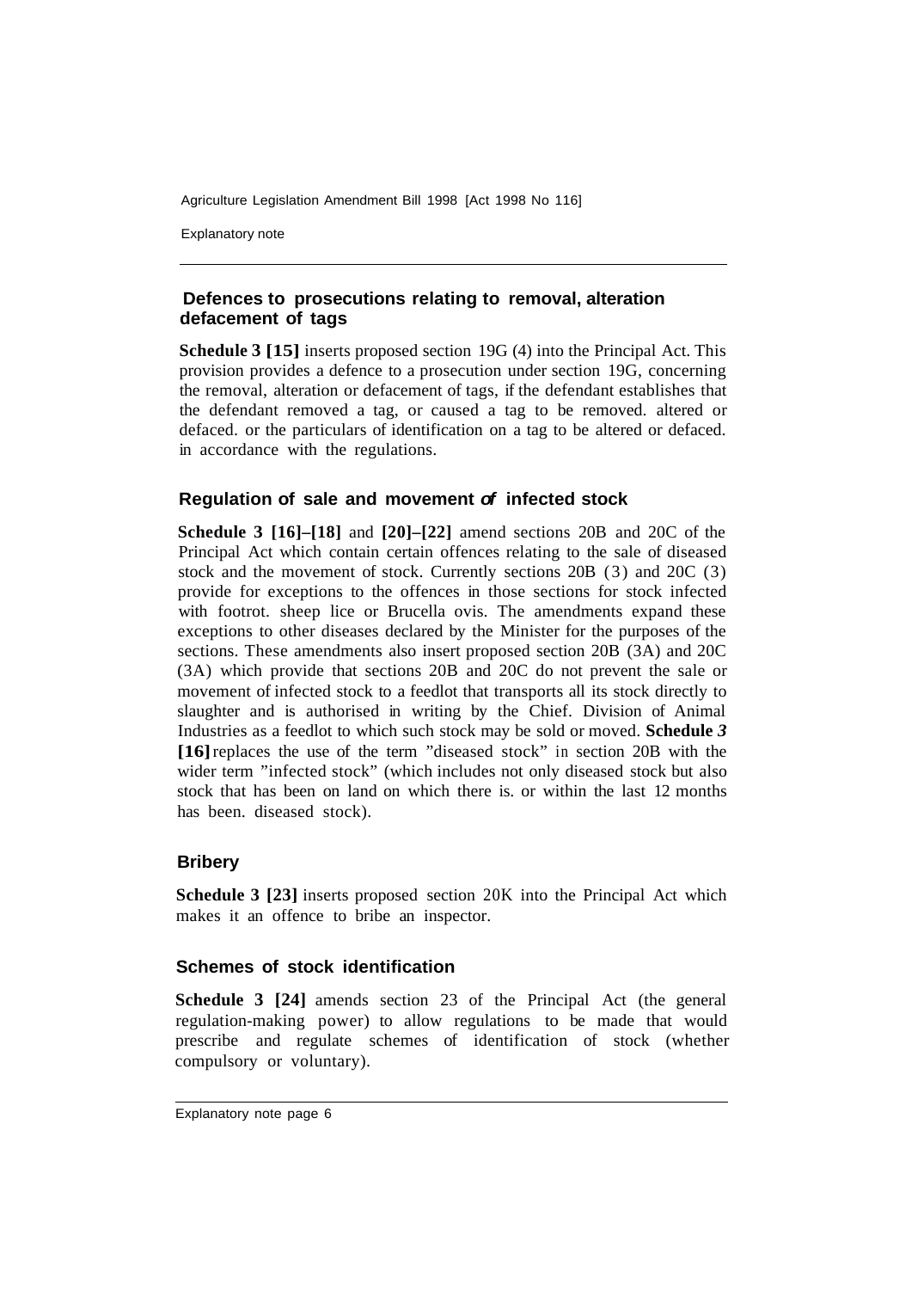Explanatory note

# **Defences to prosecutions relating to removal, alteration defacement of tags**

**Schedule 3 [15]** inserts proposed section 19G (4) into the Principal Act. This provision provides a defence to a prosecution under section 19G, concerning the removal, alteration or defacement of tags, if the defendant establishes that the defendant removed a tag, or caused a tag to be removed. altered or defaced. or the particulars of identification on a tag to be altered or defaced. in accordance with the regulations.

# **Regulation of sale and movement** *of* **infected stock**

**Schedule 3 [16]–[18]** and **[20]–[22]** amend sections 20B and 20C of the Principal Act which contain certain offences relating to the sale of diseased stock and the movement of stock. Currently sections 20B (3) and 20C (3) provide for exceptions to the offences in those sections for stock infected with footrot. sheep lice or Brucella ovis. The amendments expand these exceptions to other diseases declared by the Minister for the purposes of the sections. These amendments also insert proposed section 20B (3A) and 20C (3A) which provide that sections 20B and 20C do not prevent the sale or movement of infected stock to a feedlot that transports all its stock directly to slaughter and is authorised in writing by the Chief. Division of Animal Industries as a feedlot to which such stock may be sold or moved. **Schedule** *3*  **[16]** replaces the use of the term "diseased stock" in section 20B with the wider term "infected stock" (which includes not only diseased stock but also stock that has been on land on which there is. or within the last 12 months has been. diseased stock).

# **Bribery**

**Schedule 3 [23]** inserts proposed section 20K into the Principal Act which makes it an offence to bribe an inspector.

#### **Schemes of stock identification**

**Schedule 3 [24]** amends section 23 of the Principal Act (the general regulation-making power) to allow regulations to be made that would prescribe and regulate schemes of identification of stock (whether compulsory or voluntary).